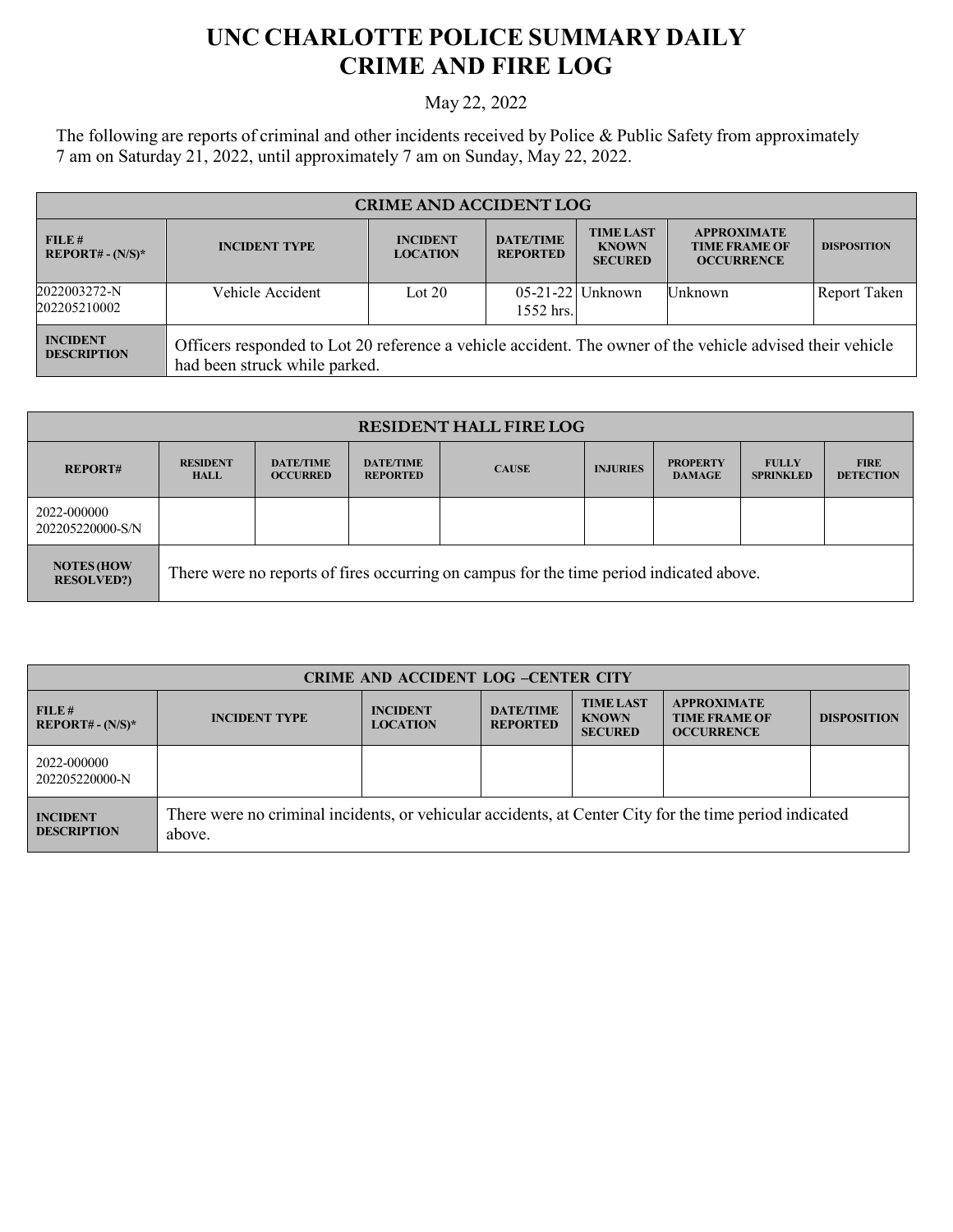## **UNC CHARLOTTE POLICE SUMMARY DAILY CRIME AND FIRE LOG**

## May 22, 2022

The following are reports of criminal and other incidents received by Police & Public Safety from approximately 7 am on Saturday 21, 2022, until approximately 7 am on Sunday, May 22, 2022.

| <b>CRIME AND ACCIDENT LOG</b>         |                                                                                                                                            |                                    |                                     |                                                    |                                                                 |                     |  |
|---------------------------------------|--------------------------------------------------------------------------------------------------------------------------------------------|------------------------------------|-------------------------------------|----------------------------------------------------|-----------------------------------------------------------------|---------------------|--|
| FILE#<br>$REPORT# - (N/S)*$           | <b>INCIDENT TYPE</b>                                                                                                                       | <b>INCIDENT</b><br><b>LOCATION</b> | <b>DATE/TIME</b><br><b>REPORTED</b> | <b>TIME LAST</b><br><b>KNOWN</b><br><b>SECURED</b> | <b>APPROXIMATE</b><br><b>TIME FRAME OF</b><br><b>OCCURRENCE</b> | <b>DISPOSITION</b>  |  |
| 2022003272-N<br>202205210002          | Vehicle Accident                                                                                                                           | Lot $20$                           | $1552$ hrs.                         | $05-21-22$ Unknown                                 | Unknown                                                         | <b>Report Taken</b> |  |
| <b>INCIDENT</b><br><b>DESCRIPTION</b> | Officers responded to Lot 20 reference a vehicle accident. The owner of the vehicle advised their vehicle<br>had been struck while parked. |                                    |                                     |                                                    |                                                                 |                     |  |

| <b>RESIDENT HALL FIRE LOG</b>           |                                                                                         |                                     |                                     |              |                 |                                  |                                  |                                 |
|-----------------------------------------|-----------------------------------------------------------------------------------------|-------------------------------------|-------------------------------------|--------------|-----------------|----------------------------------|----------------------------------|---------------------------------|
| <b>REPORT#</b>                          | <b>RESIDENT</b><br><b>HALL</b>                                                          | <b>DATE/TIME</b><br><b>OCCURRED</b> | <b>DATE/TIME</b><br><b>REPORTED</b> | <b>CAUSE</b> | <b>INJURIES</b> | <b>PROPERTY</b><br><b>DAMAGE</b> | <b>FULLY</b><br><b>SPRINKLED</b> | <b>FIRE</b><br><b>DETECTION</b> |
| 2022-000000<br>202205220000-S/N         |                                                                                         |                                     |                                     |              |                 |                                  |                                  |                                 |
| <b>NOTES (HOW</b><br><b>RESOLVED?</b> ) | There were no reports of fires occurring on campus for the time period indicated above. |                                     |                                     |              |                 |                                  |                                  |                                 |

| <b>CRIME AND ACCIDENT LOG -CENTER CITY</b> |                                                                                                                  |                                    |                                     |                                                    |                                                                 |                    |
|--------------------------------------------|------------------------------------------------------------------------------------------------------------------|------------------------------------|-------------------------------------|----------------------------------------------------|-----------------------------------------------------------------|--------------------|
| FILE#<br>$REPORT# - (N/S)*$                | <b>INCIDENT TYPE</b>                                                                                             | <b>INCIDENT</b><br><b>LOCATION</b> | <b>DATE/TIME</b><br><b>REPORTED</b> | <b>TIME LAST</b><br><b>KNOWN</b><br><b>SECURED</b> | <b>APPROXIMATE</b><br><b>TIME FRAME OF</b><br><b>OCCURRENCE</b> | <b>DISPOSITION</b> |
| 2022-000000<br>202205220000-N              |                                                                                                                  |                                    |                                     |                                                    |                                                                 |                    |
| <b>INCIDENT</b><br><b>DESCRIPTION</b>      | There were no criminal incidents, or vehicular accidents, at Center City for the time period indicated<br>above. |                                    |                                     |                                                    |                                                                 |                    |